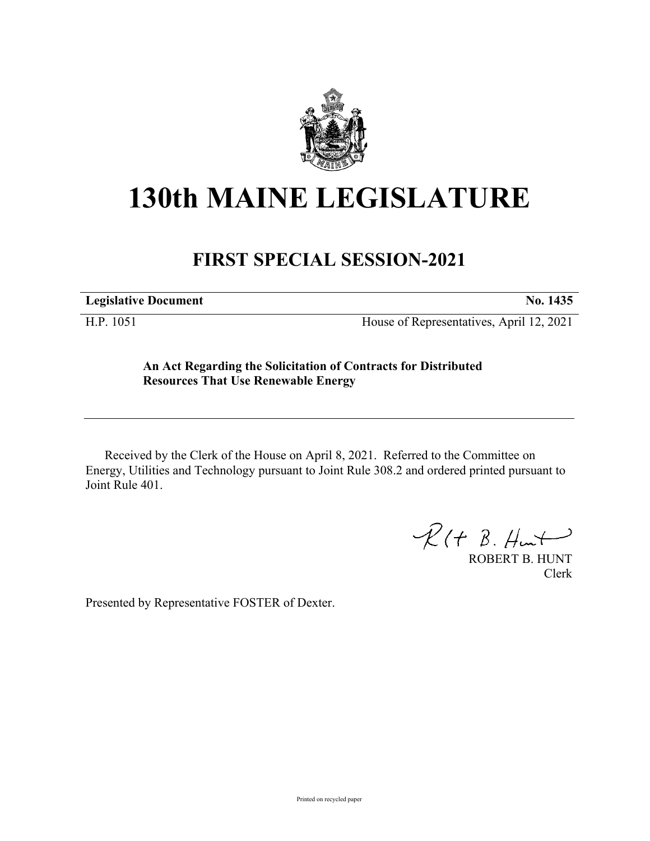

## **130th MAINE LEGISLATURE**

## **FIRST SPECIAL SESSION-2021**

**Legislative Document No. 1435**

H.P. 1051 House of Representatives, April 12, 2021

**An Act Regarding the Solicitation of Contracts for Distributed Resources That Use Renewable Energy**

Received by the Clerk of the House on April 8, 2021. Referred to the Committee on Energy, Utilities and Technology pursuant to Joint Rule 308.2 and ordered printed pursuant to Joint Rule 401.

 $R(H B. H<sub>un</sub>+)$ 

ROBERT B. HUNT Clerk

Presented by Representative FOSTER of Dexter.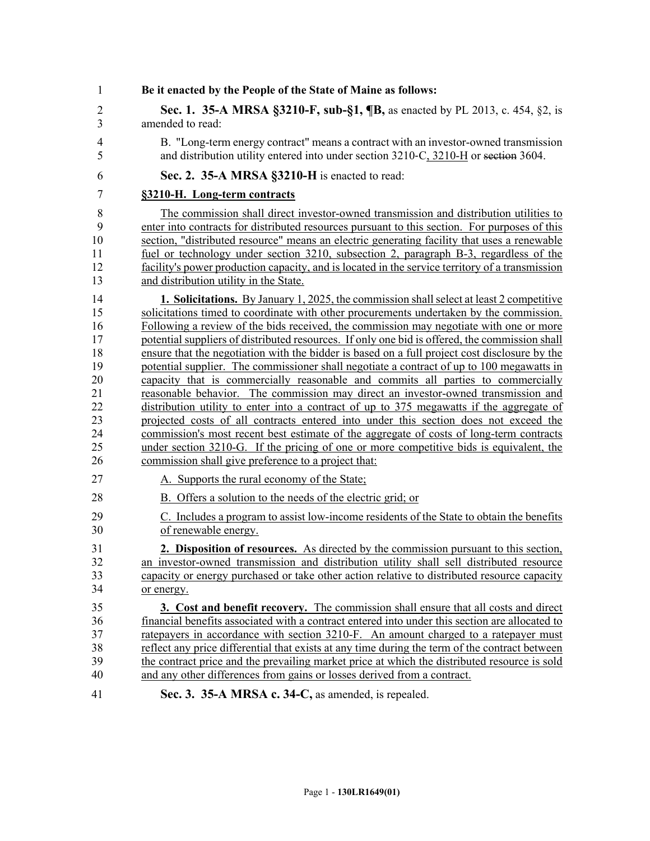| 1              | Be it enacted by the People of the State of Maine as follows:                                   |
|----------------|-------------------------------------------------------------------------------------------------|
| $\overline{2}$ | Sec. 1. 35-A MRSA §3210-F, sub-§1, ¶B, as enacted by PL 2013, c. 454, §2, is                    |
| 3              | amended to read:                                                                                |
| $\overline{4}$ | B. "Long-term energy contract" means a contract with an investor-owned transmission             |
| 5              | and distribution utility entered into under section 3210-C, 3210-H or section 3604.             |
| 6              | Sec. 2. 35-A MRSA §3210-H is enacted to read:                                                   |
| $\overline{7}$ | §3210-H. Long-term contracts                                                                    |
| 8              | The commission shall direct investor-owned transmission and distribution utilities to           |
| 9              | enter into contracts for distributed resources pursuant to this section. For purposes of this   |
| 10             | section, "distributed resource" means an electric generating facility that uses a renewable     |
| 11             | fuel or technology under section 3210, subsection 2, paragraph B-3, regardless of the           |
| 12             | facility's power production capacity, and is located in the service territory of a transmission |
| 13             | and distribution utility in the State.                                                          |
| 14             | <b>1. Solicitations.</b> By January 1, 2025, the commission shall select at least 2 competitive |
| 15             | solicitations timed to coordinate with other procurements undertaken by the commission.         |
| 16             | Following a review of the bids received, the commission may negotiate with one or more          |
| 17             | potential suppliers of distributed resources. If only one bid is offered, the commission shall  |
| 18             | ensure that the negotiation with the bidder is based on a full project cost disclosure by the   |
| 19             | potential supplier. The commissioner shall negotiate a contract of up to 100 megawatts in       |
| 20             | capacity that is commercially reasonable and commits all parties to commercially                |
| 21             | reasonable behavior. The commission may direct an investor-owned transmission and               |
| 22             | distribution utility to enter into a contract of up to 375 megawatts if the aggregate of        |
| 23             | projected costs of all contracts entered into under this section does not exceed the            |
| 24             | commission's most recent best estimate of the aggregate of costs of long-term contracts         |
| 25             | under section 3210-G. If the pricing of one or more competitive bids is equivalent, the         |
| 26             | commission shall give preference to a project that:                                             |
| 27             | A. Supports the rural economy of the State;                                                     |
| 28             | B. Offers a solution to the needs of the electric grid; or                                      |
| 29             | C. Includes a program to assist low-income residents of the State to obtain the benefits        |
| 30             | of renewable energy.                                                                            |
| 31             | 2. Disposition of resources. As directed by the commission pursuant to this section,            |
| 32             | an investor-owned transmission and distribution utility shall sell distributed resource         |
| 33             | capacity or energy purchased or take other action relative to distributed resource capacity     |
| 34             | or energy.                                                                                      |
| 35             | 3. Cost and benefit recovery. The commission shall ensure that all costs and direct             |
| 36             | financial benefits associated with a contract entered into under this section are allocated to  |
| 37             | ratepayers in accordance with section 3210-F. An amount charged to a ratepayer must             |
| 38             | reflect any price differential that exists at any time during the term of the contract between  |
| 39             | the contract price and the prevailing market price at which the distributed resource is sold    |
| 40             | and any other differences from gains or losses derived from a contract.                         |
| 41             | Sec. 3. 35-A MRSA c. 34-C, as amended, is repealed.                                             |